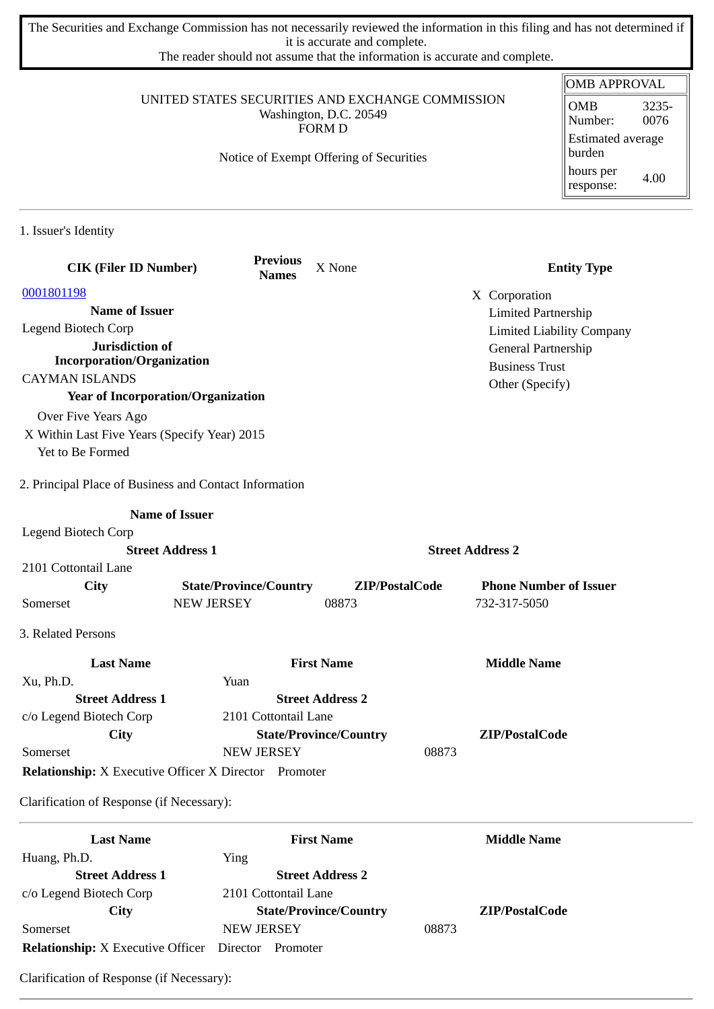The Securities and Exchange Commission has not necessarily reviewed the information in this filing and has not determined if it is accurate and complete.

The reader should not assume that the information is accurate and complete.

## UNITED STATES SECURITIES AND EXCHANGE COMMISSION Washington, D.C. 20549 FORM D

#### Notice of Exempt Offering of Securities

#### OMB APPROVAL OMB Number: 3235- 0076 Estimated average burden hours per response: 4.00

1. Issuer's Identity

| <b>CIK (Filer ID Number)</b>                                     | <b>Previous</b><br><b>Names</b> | X None                        | <b>Entity Type</b>               |
|------------------------------------------------------------------|---------------------------------|-------------------------------|----------------------------------|
| 0001801198                                                       |                                 |                               | X Corporation                    |
| <b>Name of Issuer</b>                                            |                                 |                               | <b>Limited Partnership</b>       |
| Legend Biotech Corp                                              |                                 |                               | <b>Limited Liability Company</b> |
| Jurisdiction of                                                  |                                 |                               | General Partnership              |
| <b>Incorporation/Organization</b>                                |                                 |                               | <b>Business Trust</b>            |
| <b>CAYMAN ISLANDS</b>                                            |                                 |                               | Other (Specify)                  |
| <b>Year of Incorporation/Organization</b>                        |                                 |                               |                                  |
| Over Five Years Ago                                              |                                 |                               |                                  |
| X Within Last Five Years (Specify Year) 2015<br>Yet to Be Formed |                                 |                               |                                  |
| 2. Principal Place of Business and Contact Information           |                                 |                               |                                  |
|                                                                  | <b>Name of Issuer</b>           |                               |                                  |
| <b>Legend Biotech Corp</b>                                       |                                 |                               |                                  |
|                                                                  | <b>Street Address 1</b>         |                               | <b>Street Address 2</b>          |
| 2101 Cottontail Lane                                             |                                 |                               |                                  |
| <b>City</b>                                                      | <b>State/Province/Country</b>   | ZIP/PostalCode                | <b>Phone Number of Issuer</b>    |
| Somerset                                                         | <b>NEW JERSEY</b>               | 08873                         | 732-317-5050                     |
| 3. Related Persons                                               |                                 |                               |                                  |
| <b>Last Name</b>                                                 |                                 | <b>First Name</b>             | <b>Middle Name</b>               |
| Xu, Ph.D.                                                        | Yuan                            |                               |                                  |
| <b>Street Address 1</b>                                          |                                 | <b>Street Address 2</b>       |                                  |
| c/o Legend Biotech Corp                                          | 2101 Cottontail Lane            |                               |                                  |
| <b>City</b>                                                      |                                 | <b>State/Province/Country</b> | ZIP/PostalCode                   |
| Somerset                                                         | <b>NEW JERSEY</b>               | 08873                         |                                  |
| <b>Relationship:</b> X Executive Officer X Director Promoter     |                                 |                               |                                  |
| Clarification of Response (if Necessary):                        |                                 |                               |                                  |
| <b>Last Name</b>                                                 |                                 | <b>First Name</b>             | <b>Middle Name</b>               |
| Huang, Ph.D.                                                     | Ying                            |                               |                                  |
| <b>Street Address 1</b>                                          |                                 | <b>Street Address 2</b>       |                                  |
| c/o Legend Biotech Corp                                          | 2101 Cottontail Lane            |                               |                                  |
| City                                                             |                                 | <b>State/Province/Country</b> | ZIP/PostalCode                   |
| Somerset                                                         | <b>NEW JERSEY</b>               | 08873                         |                                  |

Clarification of Response (if Necessary):

**Relationship:** X Executive Officer Director Promoter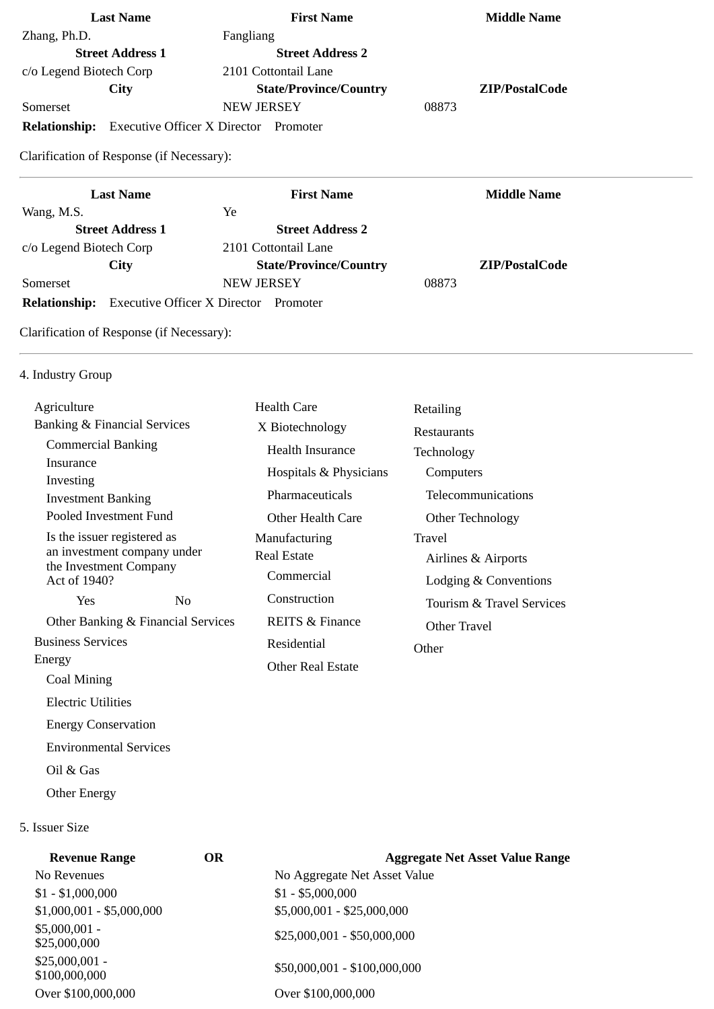**Last Name First Name Middle Name** Zhang, Ph.D. Fangliang **Street Address 1 Street Address 2** c/o Legend Biotech Corp 2101 Cottontail Lane **City State/Province/Country ZIP/PostalCode** Somerset NEW JERSEY 08873 **Relationship:** Executive Officer X Director Promoter Clarification of Response (if Necessary):

|                         | <b>Last Name</b>                                  | <b>First Name</b>             |       | <b>Middle Name</b> |
|-------------------------|---------------------------------------------------|-------------------------------|-------|--------------------|
| Wang, M.S.              |                                                   | Ye                            |       |                    |
|                         | <b>Street Address 1</b>                           | <b>Street Address 2</b>       |       |                    |
| c/o Legend Biotech Corp |                                                   | 2101 Cottontail Lane          |       |                    |
|                         | <b>City</b>                                       | <b>State/Province/Country</b> |       | ZIP/PostalCode     |
| Somerset                |                                                   | <b>NEW JERSEY</b>             | 08873 |                    |
|                         | <b>Relationship:</b> Executive Officer X Director | Promoter                      |       |                    |
|                         |                                                   |                               |       |                    |

Clarification of Response (if Necessary):

# 4. Industry Group

 Energy Conservation Environmental Services

 Oil & Gas Other Energy

5. Issuer Size

| Agriculture                                           | <b>Health Care</b>         | Retailing                 |
|-------------------------------------------------------|----------------------------|---------------------------|
| <b>Banking &amp; Financial Services</b>               | X Biotechnology            | Restaurants               |
| <b>Commercial Banking</b><br>Insurance                | <b>Health Insurance</b>    | Technology                |
| Investing                                             | Hospitals & Physicians     | Computers                 |
| <b>Investment Banking</b>                             | Pharmaceuticals            | Telecommunications        |
| Pooled Investment Fund                                | Other Health Care          | Other Technology          |
| Is the issuer registered as                           | Manufacturing              | Travel                    |
| an investment company under<br>the Investment Company | <b>Real Estate</b>         | Airlines & Airports       |
| Act of 1940?                                          | Commercial                 | Lodging & Conventions     |
| Yes<br>No.                                            | Construction               | Tourism & Travel Services |
| Other Banking & Financial Services                    | <b>REITS &amp; Finance</b> | Other Travel              |
| <b>Business Services</b>                              | <b>Residential</b>         | Other                     |
| Energy                                                | <b>Other Real Estate</b>   |                           |
| Coal Mining                                           |                            |                           |
| Electric Utilities                                    |                            |                           |

| <b>Revenue Range</b>             | <b>OR</b> | <b>Aggregate Net Asset Value Range</b> |
|----------------------------------|-----------|----------------------------------------|
| No Revenues                      |           | No Aggregate Net Asset Value           |
| $$1 - $1,000,000$                |           | $$1 - $5,000,000$                      |
| $$1,000,001 - $5,000,000$        |           | \$5,000,001 - \$25,000,000             |
| $$5,000,001 -$<br>\$25,000,000   |           | \$25,000,001 - \$50,000,000            |
| $$25,000,001 -$<br>\$100,000,000 |           | \$50,000,001 - \$100,000,000           |
| Over \$100,000,000               |           | Over \$100,000,000                     |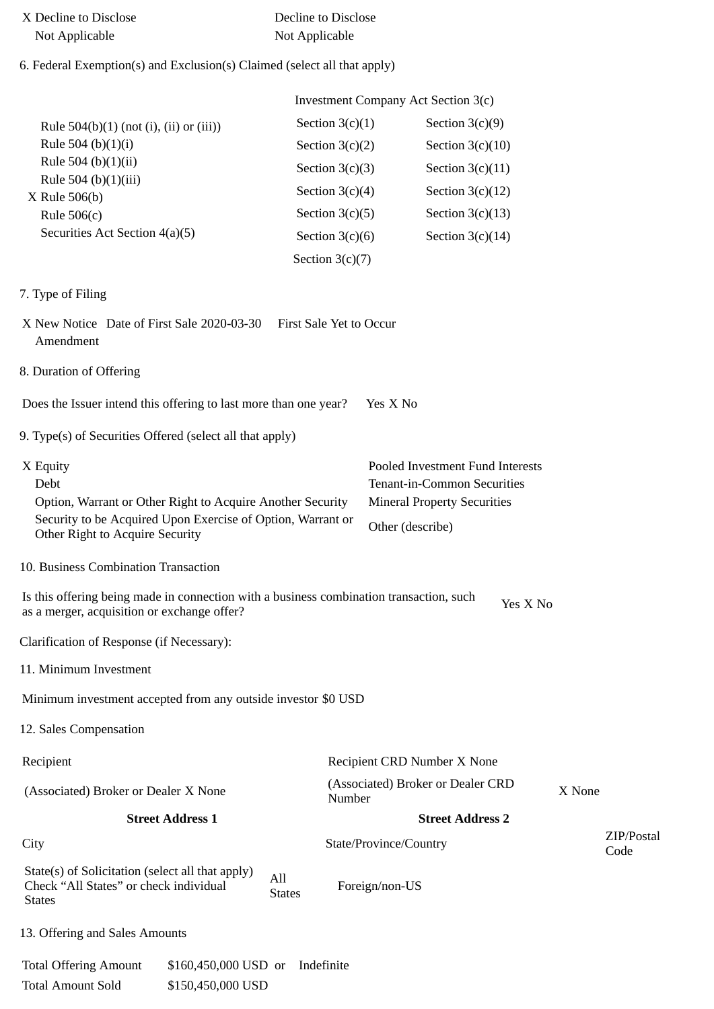| X Decline to Disclose | Decline to Disclose |
|-----------------------|---------------------|
| Not Applicable        | Not Applicable      |

# 6. Federal Exemption(s) and Exclusion(s) Claimed (select all that apply)

|                                           |                   | Investment Company Act Section 3(c) |  |  |
|-------------------------------------------|-------------------|-------------------------------------|--|--|
| Rule $504(b)(1)$ (not (i), (ii) or (iii)) | Section $3(c)(1)$ | Section $3(c)(9)$                   |  |  |
| Rule 504 (b) $(1)(i)$                     | Section $3(c)(2)$ | Section $3(c)(10)$                  |  |  |
| Rule 504 (b) $(1)(ii)$                    | Section $3(c)(3)$ | Section $3(c)(11)$                  |  |  |
| Rule 504 (b)(1)(iii)<br>$X$ Rule 506(b)   | Section $3(c)(4)$ | Section $3(c)(12)$                  |  |  |
| Rule $506(c)$                             | Section $3(c)(5)$ | Section $3(c)(13)$                  |  |  |
| Securities Act Section 4(a)(5)            | Section $3(c)(6)$ | Section $3(c)(14)$                  |  |  |
|                                           | Section $3(c)(7)$ |                                     |  |  |
|                                           |                   |                                     |  |  |

## 7. Type of Filing

|           | X New Notice Date of First Sale 2020-03-30 First Sale Yet to Occur |  |
|-----------|--------------------------------------------------------------------|--|
| Amendment |                                                                    |  |

8. Duration of Offering

Does the Issuer intend this offering to last more than one year? Yes X No

9. Type(s) of Securities Offered (select all that apply)

| X Equity                                                                                       | Pooled Investment Fund Interests   |
|------------------------------------------------------------------------------------------------|------------------------------------|
| Debt                                                                                           | Tenant-in-Common Securities        |
| Option, Warrant or Other Right to Acquire Another Security                                     | <b>Mineral Property Securities</b> |
| Security to be Acquired Upon Exercise of Option, Warrant or<br>Other Right to Acquire Security | Other (describe)                   |

10. Business Combination Transaction

Is this offering being made in connection with a business combination transaction, such Is this offering being made in connection with a business combination transaction, such Yes X No<br>as a merger, acquisition or exchange offer?

Clarification of Response (if Necessary):

11. Minimum Investment

Minimum investment accepted from any outside investor \$0 USD

12. Sales Compensation

| Recipient                                                                                                   |                      | Recipient CRD Number X None                 |                    |
|-------------------------------------------------------------------------------------------------------------|----------------------|---------------------------------------------|--------------------|
| (Associated) Broker or Dealer X None                                                                        |                      | (Associated) Broker or Dealer CRD<br>Number | X None             |
| <b>Street Address 1</b>                                                                                     |                      | <b>Street Address 2</b>                     |                    |
| City                                                                                                        |                      | State/Province/Country                      | ZIP/Postal<br>Code |
| State(s) of Solicitation (select all that apply)<br>Check "All States" or check individual<br><b>States</b> | All<br><b>States</b> | Foreign/non-US                              |                    |

13. Offering and Sales Amounts

| <b>Total Offering Amount</b> | $$160,450,000$ USD or | Indefinite |
|------------------------------|-----------------------|------------|
| Total Amount Sold            | \$150,450,000 USD     |            |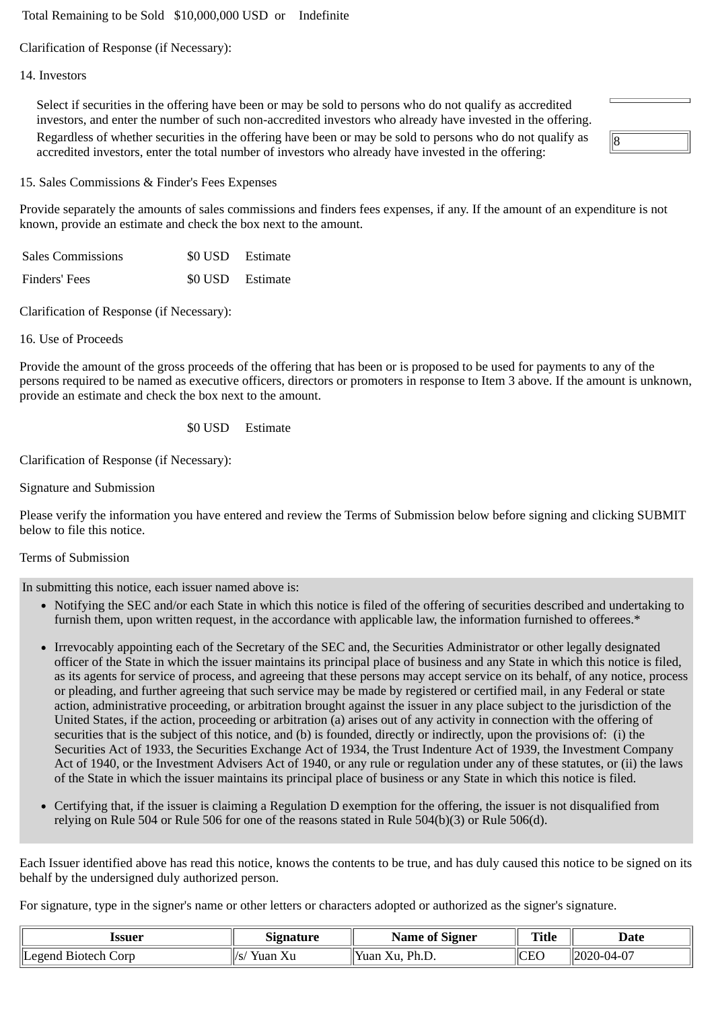Total Remaining to be Sold \$10,000,000 USD or Indefinite

Clarification of Response (if Necessary):

## 14. Investors

Select if securities in the offering have been or may be sold to persons who do not qualify as accredited investors, and enter the number of such non-accredited investors who already have invested in the offering. Regardless of whether securities in the offering have been or may be sold to persons who do not qualify as accredited investors, enter the total number of investors who already have invested in the offering:

8

15. Sales Commissions & Finder's Fees Expenses

Provide separately the amounts of sales commissions and finders fees expenses, if any. If the amount of an expenditure is not known, provide an estimate and check the box next to the amount.

| <b>Sales Commissions</b> | \$0 USD Estimate |
|--------------------------|------------------|
| Finders' Fees            | \$0 USD Estimate |

Clarification of Response (if Necessary):

16. Use of Proceeds

Provide the amount of the gross proceeds of the offering that has been or is proposed to be used for payments to any of the persons required to be named as executive officers, directors or promoters in response to Item 3 above. If the amount is unknown, provide an estimate and check the box next to the amount.

# \$0 USD Estimate

Clarification of Response (if Necessary):

Signature and Submission

Please verify the information you have entered and review the Terms of Submission below before signing and clicking SUBMIT below to file this notice.

# Terms of Submission

In submitting this notice, each issuer named above is:

- Notifying the SEC and/or each State in which this notice is filed of the offering of securities described and undertaking to furnish them, upon written request, in the accordance with applicable law, the information furnished to offerees.\*
- Irrevocably appointing each of the Secretary of the SEC and, the Securities Administrator or other legally designated officer of the State in which the issuer maintains its principal place of business and any State in which this notice is filed, as its agents for service of process, and agreeing that these persons may accept service on its behalf, of any notice, process or pleading, and further agreeing that such service may be made by registered or certified mail, in any Federal or state action, administrative proceeding, or arbitration brought against the issuer in any place subject to the jurisdiction of the United States, if the action, proceeding or arbitration (a) arises out of any activity in connection with the offering of securities that is the subject of this notice, and (b) is founded, directly or indirectly, upon the provisions of: (i) the Securities Act of 1933, the Securities Exchange Act of 1934, the Trust Indenture Act of 1939, the Investment Company Act of 1940, or the Investment Advisers Act of 1940, or any rule or regulation under any of these statutes, or (ii) the laws of the State in which the issuer maintains its principal place of business or any State in which this notice is filed.
- Certifying that, if the issuer is claiming a Regulation D exemption for the offering, the issuer is not disqualified from relying on Rule 504 or Rule 506 for one of the reasons stated in Rule 504(b)(3) or Rule 506(d).

Each Issuer identified above has read this notice, knows the contents to be true, and has duly caused this notice to be signed on its behalf by the undersigned duly authorized person.

For signature, type in the signer's name or other letters or characters adopted or authorized as the signer's signature.

| Issuer                                              | Signature                         | .<br>Name of Signer              | <b>Title</b> | Date              |
|-----------------------------------------------------|-----------------------------------|----------------------------------|--------------|-------------------|
| . .<br>$\mathbf{r}$<br>-Biotech -<br>∥Legend<br>COP | $ -$<br>II/s.<br>.<br>Yuan<br>_∧u | .<br>Dh.<br>Xu,<br>Yuan<br>′II.D | $ {\rm CEC}$ | $ 2020 - 04 - 07$ |